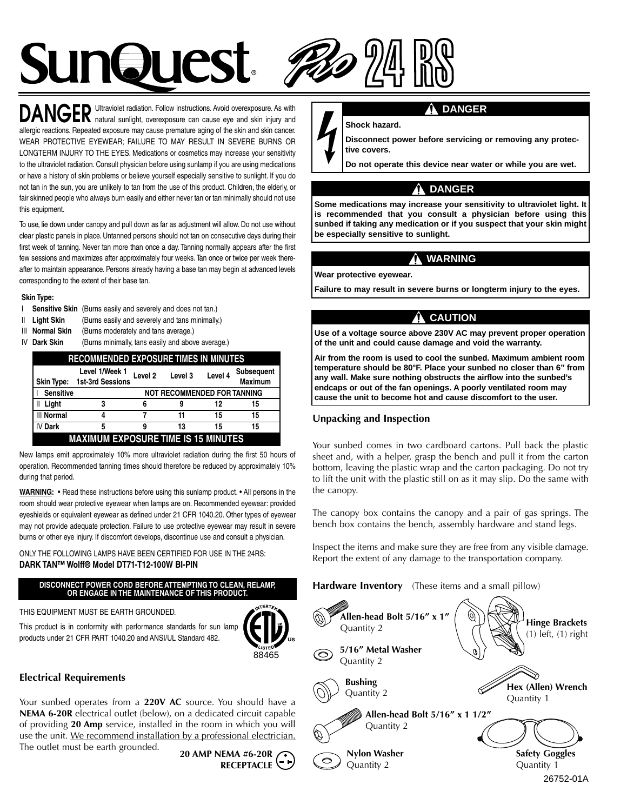

Ultraviolet radiation. Follow instructions. Avoid overexposure. As with DANGER natural sunlight, overexposure can cause eye and skin injury and allergic reactions. Repeated exposure may cause premature aging of the skin and skin cancer. WEAR PROTECTIVE EYEWEAR; FAILURE TO MAY RESULT IN SEVERE BURNS OR LONGTERM INJURY TO THE EYES. Medications or cosmetics may increase your sensitivity to the ultraviolet radiation. Consult physician before using sunlamp if you are using medications or have a history of skin problems or believe yourself especially sensitive to sunlight. If you do not tan in the sun, you are unlikely to tan from the use of this product. Children, the elderly, or fair skinned people who always burn easily and either never tan or tan minimally should not use this equipment.

To use, lie down under canopy and pull down as far as adjustment will allow. Do not use without clear plastic panels in place. Untanned persons should not tan on consecutive days during their first week of tanning. Never tan more than once a day. Tanning normally appears after the first few sessions and maximizes after approximately four weeks. Tan once or twice per week thereafter to maintain appearance. Persons already having a base tan may begin at advanced levels corresponding to the extent of their base tan.

#### **Skin Type:**

- I **Sensitive Skin** (Burns easily and severely and does not tan.)
- II **Light Skin** (Burns easily and severely and tans minimally.)
- III **Normal Skin** (Burns moderately and tans average.)
- 

IV **Dark Skin** (Burns minimally, tans easily and above average.)

| <b>RECOMMENDED EXPOSURE TIMES IN MINUTES</b> |                                           |                                    |         |         |                       |  |
|----------------------------------------------|-------------------------------------------|------------------------------------|---------|---------|-----------------------|--|
| <b>Skin Type:</b>                            | Level 1/Week 1<br><b>1st-3rd Sessions</b> | Level <sub>2</sub>                 | Level 3 | Level 4 | Subsequent<br>Maximum |  |
| <b>Sensitive</b>                             |                                           | <b>NOT RECOMMENDED FOR TANNING</b> |         |         |                       |  |
| Il Light                                     | 3                                         | 6                                  | 9       | 12      | 15                    |  |
| <b>III Normal</b>                            |                                           |                                    | 11      | 15      | 15                    |  |
| IV Dark                                      | 5                                         | 9                                  | 13      | 15      | 15                    |  |
| <b>MAXIMUM EXPOSURE TIME IS 15 MINUTES</b>   |                                           |                                    |         |         |                       |  |

New lamps emit approximately 10% more ultraviolet radiation during the first 50 hours of operation. Recommended tanning times should therefore be reduced by approximately 10% during that period.

**WARNING:** • Read these instructions before using this sunlamp product. • All persons in the room should wear protective eyewear when lamps are on. Recommended eyewear: provided eyeshields or equivalent eyewear as defined under 21 CFR 1040.20. Other types of eyewear may not provide adequate protection. Failure to use protective eyewear may result in severe burns or other eye injury. If discomfort develops, discontinue use and consult a physician.

ONLY THE FOLLOWING LAMPS HAVE BEEN CERTIFIED FOR USE IN THE 24RS: **DARK TAN™ Wolff® Model DT71-T12-100W BI-PIN**

#### **DISCONNECT POWER CORD BEFORE ATTEMPTING TO CLEAN, RELAMP, OR ENGAGE IN THE MAINTENANCE OF THIS PRODUCT.**

THIS EQUIPMENT MUST BE EARTH GROUNDED.

This product is in conformity with performance standards for sun lamp products under 21 CFR PART 1040.20 and ANSI/UL Standard 482.



#### **Electrical Requirements**

Your sunbed operates from a **220V AC** source. You should have a **NEMA 6-20R** electrical outlet (below), on a dedicated circuit capable of providing **20 Amp** service, installed in the room in which you will use the unit. We recommend installation by a professional electrician.

The outlet must be earth grounded. **20 AMP NEMA #6-20R**

**RECEPTACLE**



#### **Shock hazard.**

**Disconnect power before servicing or removing any protective covers.**

**Do not operate this device near water or while you are wet.**

#### **DANGER**

**Some medications may increase your sensitivity to ultraviolet light. It is recommended that you consult a physician before using this sunbed if taking any medication or if you suspect that your skin might be especially sensitive to sunlight.**

#### **WARNING**

**Wear protective eyewear.**

**Failure to may result in severe burns or longterm injury to the eyes.**

# **CAUTION**

**Use of a voltage source above 230V AC may prevent proper operation of the unit and could cause damage and void the warranty.**

**Air from the room is used to cool the sunbed. Maximum ambient room temperature should be 80°F. Place your sunbed no closer than 6" from any wall. Make sure nothing obstructs the airflow into the sunbed's endcaps or out of the fan openings. A poorly ventilated room may cause the unit to become hot and cause discomfort to the user.**

#### **Unpacking and Inspection**

Your sunbed comes in two cardboard cartons. Pull back the plastic sheet and, with a helper, grasp the bench and pull it from the carton bottom, leaving the plastic wrap and the carton packaging. Do not try to lift the unit with the plastic still on as it may slip. Do the same with the canopy.

The canopy box contains the canopy and a pair of gas springs. The bench box contains the bench, assembly hardware and stand legs.

Inspect the items and make sure they are free from any visible damage. Report the extent of any damage to the transportation company.

#### **Hardware Inventory** (These items and a small pillow)

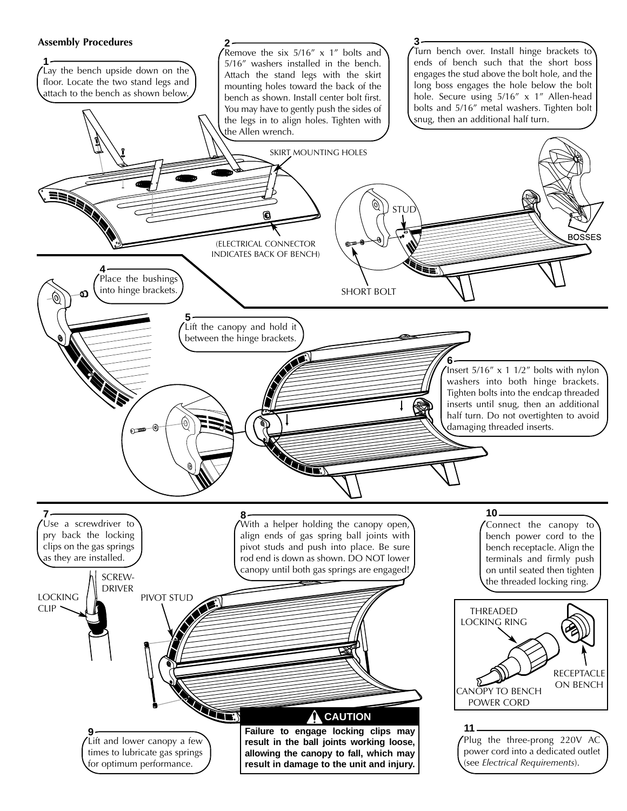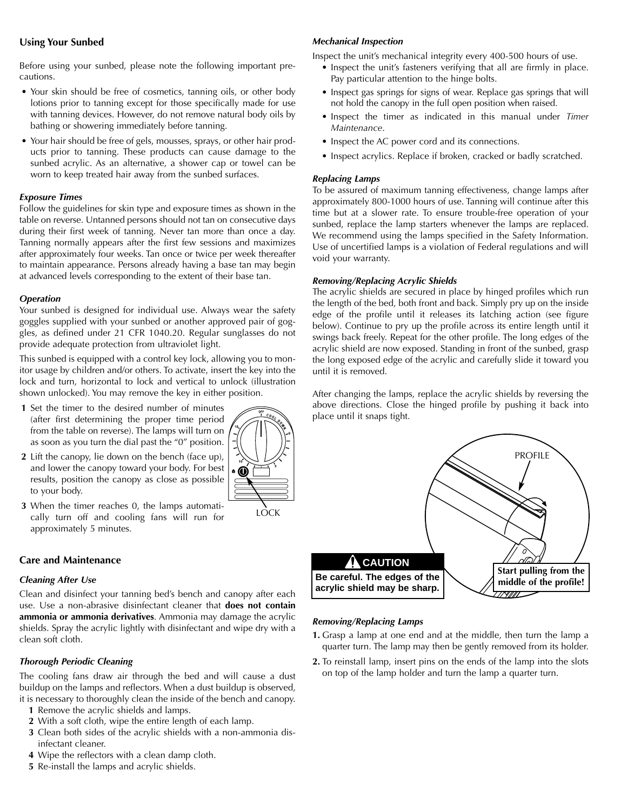#### **Using Your Sunbed**

Before using your sunbed, please note the following important precautions.

- Your skin should be free of cosmetics, tanning oils, or other body lotions prior to tanning except for those specifically made for use with tanning devices. However, do not remove natural body oils by bathing or showering immediately before tanning.
- Your hair should be free of gels, mousses, sprays, or other hair products prior to tanning. These products can cause damage to the sunbed acrylic. As an alternative, a shower cap or towel can be worn to keep treated hair away from the sunbed surfaces.

#### *Exposure Times*

Follow the guidelines for skin type and exposure times as shown in the table on reverse. Untanned persons should not tan on consecutive days during their first week of tanning. Never tan more than once a day. Tanning normally appears after the first few sessions and maximizes after approximately four weeks. Tan once or twice per week thereafter to maintain appearance. Persons already having a base tan may begin at advanced levels corresponding to the extent of their base tan.

#### *Operation*

Your sunbed is designed for individual use. Always wear the safety goggles supplied with your sunbed or another approved pair of goggles, as defined under 21 CFR 1040.20. Regular sunglasses do not provide adequate protection from ultraviolet light.

This sunbed is equipped with a control key lock, allowing you to monitor usage by children and/or others. To activate, insert the key into the lock and turn, horizontal to lock and vertical to unlock (illustration shown unlocked). You may remove the key in either position.

- **1** Set the timer to the desired number of minutes (after first determining the proper time period from the table on reverse). The lamps will turn on as soon as you turn the dial past the "0" position.
- **2** Lift the canopy, lie down on the bench (face up), and lower the canopy toward your body. For best results, position the canopy as close as possible to your body.
- **3** When the timer reaches 0, the lamps automatically turn off and cooling fans will run for approximately 5 minutes.

# **Care and Maintenance**

# *Cleaning After Use*

Clean and disinfect your tanning bed's bench and canopy after each use. Use a non-abrasive disinfectant cleaner that **does not contain ammonia or ammonia derivatives**. Ammonia may damage the acrylic shields. Spray the acrylic lightly with disinfectant and wipe dry with a clean soft cloth.

# *Thorough Periodic Cleaning*

The cooling fans draw air through the bed and will cause a dust buildup on the lamps and reflectors. When a dust buildup is observed, it is necessary to thoroughly clean the inside of the bench and canopy.

- **1** Remove the acrylic shields and lamps.
- **2** With a soft cloth, wipe the entire length of each lamp.
- **3** Clean both sides of the acrylic shields with a non-ammonia disinfectant cleaner.
- **4** Wipe the reflectors with a clean damp cloth.

# **5** Re-install the lamps and acrylic shields.

# *Mechanical Inspection*

Inspect the unit's mechanical integrity every 400-500 hours of use.

- Inspect the unit's fasteners verifying that all are firmly in place. Pay particular attention to the hinge bolts.
- Inspect gas springs for signs of wear. Replace gas springs that will not hold the canopy in the full open position when raised.
- Inspect the timer as indicated in this manual under *Timer Maintenance*.
- Inspect the AC power cord and its connections.
- Inspect acrylics. Replace if broken, cracked or badly scratched.

#### *Replacing Lamps*

To be assured of maximum tanning effectiveness, change lamps after approximately 800-1000 hours of use. Tanning will continue after this time but at a slower rate. To ensure trouble-free operation of your sunbed, replace the lamp starters whenever the lamps are replaced. We recommend using the lamps specified in the Safety Information. Use of uncertified lamps is a violation of Federal regulations and will void your warranty.

#### *Removing/Replacing Acrylic Shields*

The acrylic shields are secured in place by hinged profiles which run the length of the bed, both front and back. Simply pry up on the inside edge of the profile until it releases its latching action (see figure below). Continue to pry up the profile across its entire length until it swings back freely. Repeat for the other profile. The long edges of the acrylic shield are now exposed. Standing in front of the sunbed, grasp the long exposed edge of the acrylic and carefully slide it toward you until it is removed.

After changing the lamps, replace the acrylic shields by reversing the above directions. Close the hinged profile by pushing it back into place until it snaps tight.



# *Removing/Replacing Lamps*

- **1.** Grasp a lamp at one end and at the middle, then turn the lamp a quarter turn. The lamp may then be gently removed from its holder.
- **2.** To reinstall lamp, insert pins on the ends of the lamp into the slots on top of the lamp holder and turn the lamp a quarter turn.



LOCK